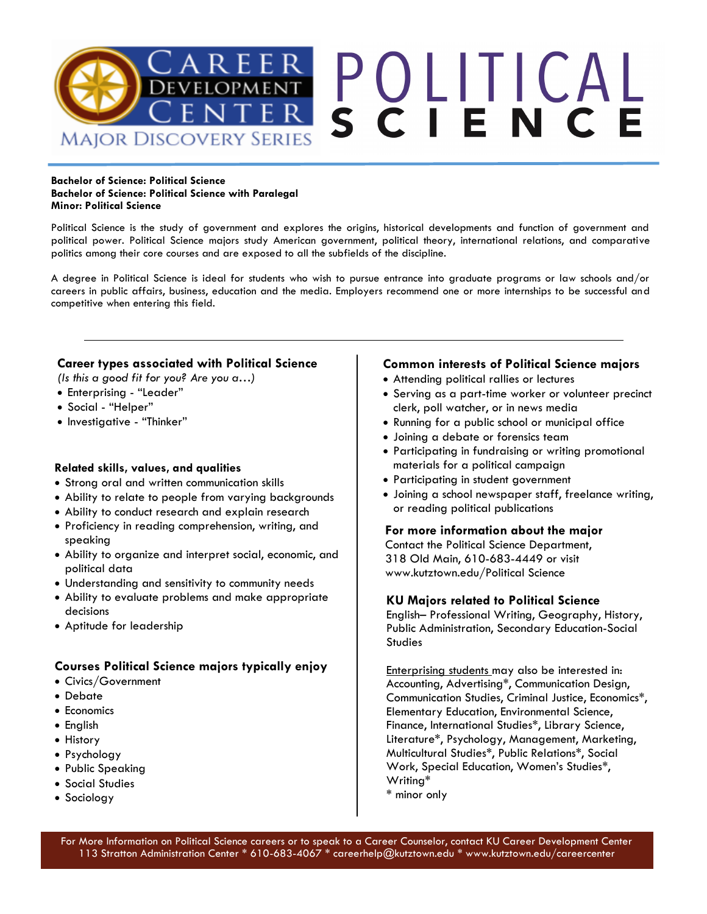

#### **Bachelor of Science: Political Science Bachelor of Science: Political Science with Paralegal Minor: Political Science**

Political Science is the study of government and explores the origins, historical developments and function of government and political power. Political Science majors study American government, political theory, international relations, and comparative politics among their core courses and are exposed to all the subfields of the discipline.

A degree in Political Science is ideal for students who wish to pursue entrance into graduate programs or law schools and/or careers in public affairs, business, education and the media. Employers recommend one or more internships to be successful and competitive when entering this field.

### **Career types associated with Political Science**

*(Is this a good fit for you? Are you a…)*

- Enterprising "Leader"
- Social "Helper"
- Investigative "Thinker"

### **Related skills, values, and qualities**

- Strong oral and written communication skills
- Ability to relate to people from varying backgrounds
- Ability to conduct research and explain research
- Proficiency in reading comprehension, writing, and speaking
- Ability to organize and interpret social, economic, and political data
- Understanding and sensitivity to community needs
- Ability to evaluate problems and make appropriate decisions
- Aptitude for leadership

# **Courses Political Science majors typically enjoy**

- Civics/Government
- Debate
- Economics
- English
- History
- Psychology
- Public Speaking
- Social Studies
- Sociology

## **Common interests of Political Science majors**

- Attending political rallies or lectures
- Serving as a part-time worker or volunteer precinct clerk, poll watcher, or in news media
- Running for a public school or municipal office
- Joining a debate or forensics team
- Participating in fundraising or writing promotional materials for a political campaign
- Participating in student government
- Joining a school newspaper staff, freelance writing, or reading political publications

#### **For more information about the major**

Contact the Political Science Department, 318 Old Main, 610-683-4449 or visit www.kutztown.edu/Political Science

### **KU Majors related to Political Science**

English– Professional Writing, Geography, History, Public Administration, Secondary Education-Social **Studies** 

Enterprising students may also be interested in: Accounting, Advertising\*, Communication Design, Communication Studies, Criminal Justice, Economics\*, Elementary Education, Environmental Science, Finance, International Studies\*, Library Science, Literature\*, Psychology, Management, Marketing, Multicultural Studies\*, Public Relations\*, Social Work, Special Education, Women's Studies\*, Writing\* \* minor only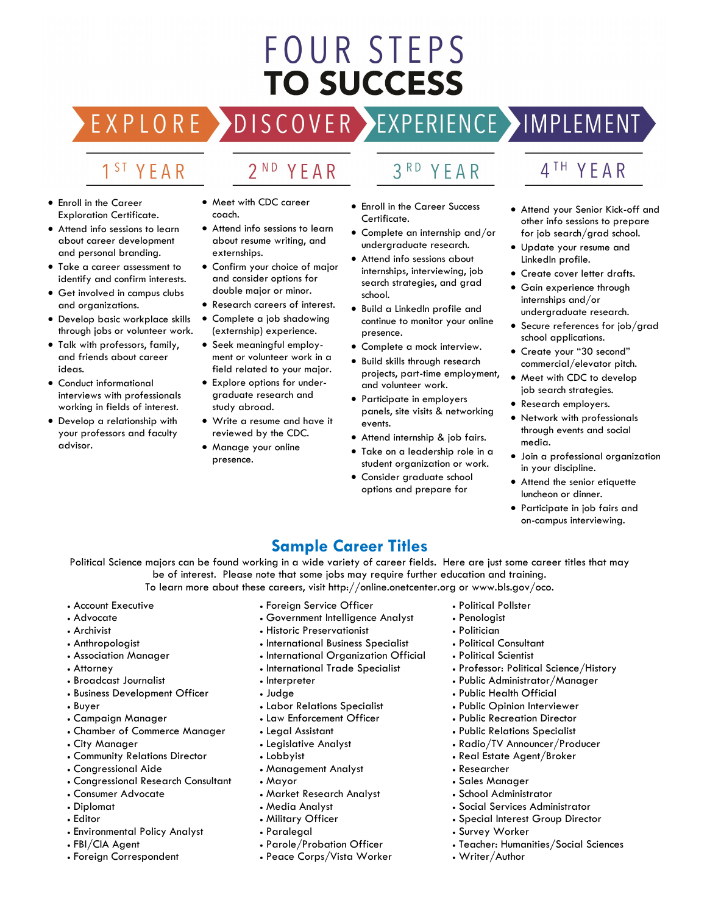# **FOUR STEPS TO SUCCESS**

# DISCOVER EXPERIENCE MOPLEMENT

2<sup>ND</sup> YEAR

# 1<sup>ST</sup> YEAR

EXPLORE >

- Enroll in the Career Exploration Certificate.
- Attend info sessions to learn about career development and personal branding.
- Take a career assessment to identify and confirm interests.
- Get involved in campus clubs and organizations.
- Develop basic workplace skills through jobs or volunteer work.
- Talk with professors, family, and friends about career ideas.
- Conduct informational interviews with professionals working in fields of interest.
- Develop a relationship with your professors and faculty advisor.
- Meet with CDC career coach.
- Attend info sessions to learn about resume writing, and externships.
- Confirm your choice of major and consider options for double major or minor.
- Research careers of interest.
- Complete a job shadowing (externship) experience.
- Seek meaningful employment or volunteer work in a field related to your major.
- Explore options for undergraduate research and study abroad.
- Write a resume and have it reviewed by the CDC.
- Manage your online presence.

# 3RD YEAR

- Enroll in the Career Success Certificate.
- Complete an internship and/or undergraduate research.
- Attend info sessions about internships, interviewing, job search strategies, and grad school.
- Build a LinkedIn profile and continue to monitor your online presence.
- Complete a mock interview.
- Build skills through research projects, part-time employment, and volunteer work.
- Participate in employers panels, site visits & networking events.
- Attend internship & job fairs.
- Take on a leadership role in a student organization or work.
- Consider graduate school options and prepare for

# 4TH YEAR

- Attend your Senior Kick-off and other info sessions to prepare for job search/grad school.
- Update your resume and LinkedIn profile.
- Create cover letter drafts.
- Gain experience through internships and/or undergraduate research.
- Secure references for job/grad school applications.
- Create your "30 second" commercial/elevator pitch.
- Meet with CDC to develop job search strategies.
- Research employers.
- Network with professionals through events and social media.
- Join a professional organization in your discipline.
- Attend the senior etiquette luncheon or dinner.
- Participate in job fairs and on-campus interviewing.

# **Sample Career Titles**

Political Science majors can be found working in a wide variety of career fields. Here are just some career titles that may be of interest. Please note that some jobs may require further education and training. To learn more about these careers, visit http://online.onetcenter.org or www.bls.gov/oco.

- Account Executive
- Advocate
- Archivist
- Anthropologist
- Association Manager
- Attorney
- Broadcast Journalist
- Business Development Officer
- Buyer
- Campaign Manager
- Chamber of Commerce Manager
- City Manager
- Community Relations Director
- Congressional Aide
- Congressional Research Consultant
- Consumer Advocate
- Diplomat
- Editor
- Environmental Policy Analyst
- FBI/CIA Agent
- Foreign Correspondent
- Foreign Service Officer
- Government Intelligence Analyst
- Historic Preservationist
- International Business Specialist
- International Organization Official
- International Trade Specialist
- Interpreter
- Judge
- Labor Relations Specialist
- Law Enforcement Officer
- Legal Assistant
- Legislative Analyst
- Lobbyist
- Management Analyst
- Mayor
- Market Research Analyst
- Media Analyst
- Military Officer
- Paralegal
- Parole/Probation Officer
- Peace Corps/Vista Worker
- Political Pollster
- Penologist
- Politician

• Researcher • Sales Manager • School Administrator

• Survey Worker

• Writer/Author

- Political Consultant
- Political Scientist
- Professor: Political Science/History
- Public Administrator/Manager
- Public Health Official
- Public Opinion Interviewer
- Public Recreation Director
- Public Relations Specialist

• Real Estate Agent/Broker

• Radio/TV Announcer/Producer

• Social Services Administrator • Special Interest Group Director

• Teacher: Humanities/Social Sciences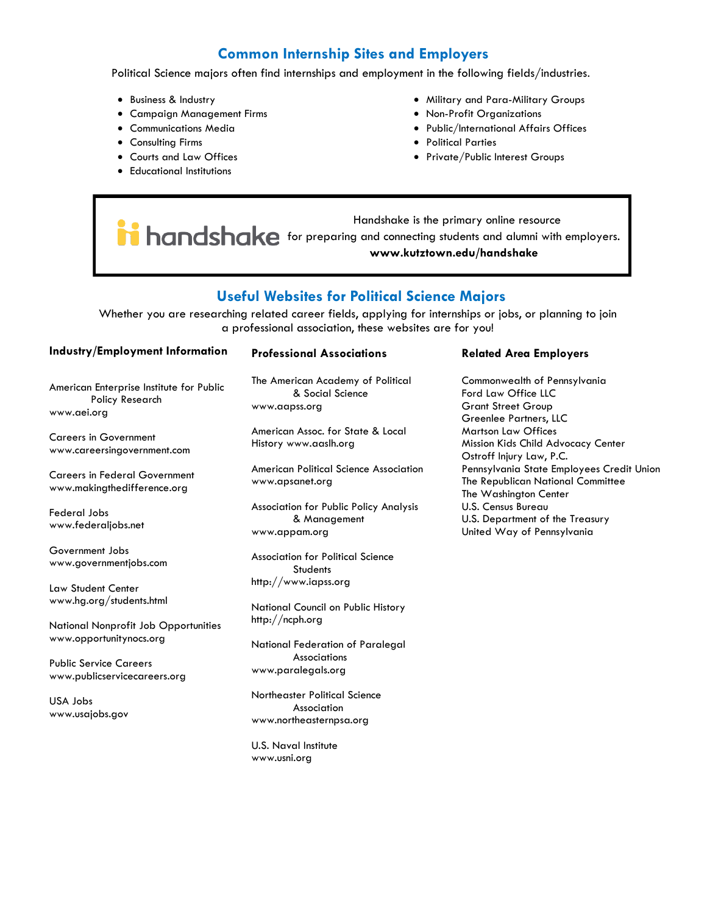# **Common Internship Sites and Employers**

Political Science majors often find internships and employment in the following fields/industries.

- Business & Industry
- Campaign Management Firms
- Communications Media
- Consulting Firms
- Courts and Law Offices
- Educational Institutions
- Military and Para-Military Groups
- Non-Profit Organizations
- Public/International Affairs Offices
- Political Parties
- Private/Public Interest Groups

 Handshake is the primary online resource **for handshake** for preparing and connecting students and alumni with employers. **www.kutztown.edu/handshake**

# **Useful Websites for Political Science Majors**

Whether you are researching related career fields, applying for internships or jobs, or planning to join a professional association, these websites are for you!

#### **Industry/Employment Information**

American Enterprise Institute for Public Policy Research www.aei.org

Careers in Government www.careersingovernment.com

Careers in Federal Government www.makingthedifference.org

Federal Jobs www.federaljobs.net

Government Jobs www.governmentjobs.com

Law Student Center www.hg.org/students.html

National Nonprofit Job Opportunities www.opportunitynocs.org

Public Service Careers www.publicservicecareers.org

USA Jobs www.usajobs.gov

#### **Professional Associations**

The American Academy of Political & Social Science www.aapss.org

American Assoc. for State & Local History www.aaslh.org

American Political Science Association www.apsanet.org

Association for Public Policy Analysis & Management www.appam.org

Association for Political Science **Students** http://www.iapss.org

National Council on Public History http://ncph.org

National Federation of Paralegal Associations www.paralegals.org

Northeaster Political Science Association www.northeasternpsa.org

U.S. Naval Institute www.usni.org

#### **Related Area Employers**

Commonwealth of Pennsylvania Ford Law Office LLC Grant Street Group Greenlee Partners, LLC Martson Law Offices Mission Kids Child Advocacy Center Ostroff Injury Law, P.C. Pennsylvania State Employees Credit Union The Republican National Committee The Washington Center U.S. Census Bureau U.S. Department of the Treasury United Way of Pennsylvania